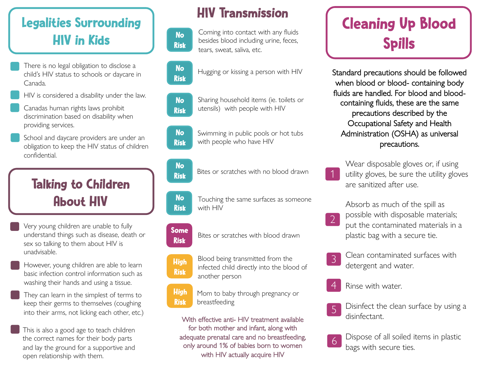## Legalities Surrounding HIV in Kids

- There is no legal obligation to disclose a child's HIV status to schools or daycare in Canada.
- HIV is considered a disability under the law.
- Canadas human rights laws prohibit discrimination based on disability when providing services.
- School and daycare providers are under an obligation to keep the HIV status of children confidential.

## Talking to Children About HIV

• Very young children are unable to fully understand things such as disease, death or sex so talking to them about HIV is unadvisable.

- However, young children are able to learn basic infection control information such as washing their hands and using a tissue.
- They can learn in the simplest of terms to keep their germs to themselves (coughing into their arms, not licking each other, etc.)
- This is also a good age to teach children the correct names for their body parts and lay the ground for a supportive and open relationship with them.

### HIV Transmission







Hugging or kissing a person with HIV

Sharing household items (ie. toilets or utensils) with people with HIV No Risk



Swimming in public pools or hot tubs with people who have HIV

#### No Risk

Bites or scratches with no blood drawn

Touching the same surfaces as someone with HIV No Risk

**Some** Bites or scratches with blood drawn Risk

Blood being transmitted from the infected child directly into the blood of another person **High** Risk

High Risk Mom to baby through pregnancy or breastfeeding

With effective anti- HIV treatment available for both mother and infant, along with adequate prenatal care and no breastfeeding, only around 1% of babies born to women with HIV actually acquire HIV

# Cleaning Up Blood Spills

Standard precautions should be followed when blood or blood- containing body fluids are handled. For blood and bloodcontaining fluids, these are the same precautions described by the Occupational Safety and Health Administration (OSHA) as universal precautions.

Wear disposable gloves or, if using utility gloves, be sure the utility gloves are sanitized after use.

Absorb as much of the spill as

- possible with disposable materials; put the contaminated materials in a plastic bag with a secure tie. 2
- Clean contaminated surfaces with detergent and water. 3
- Rinse with water. 4

1

Disinfect the clean surface by using a disinfectant. 5